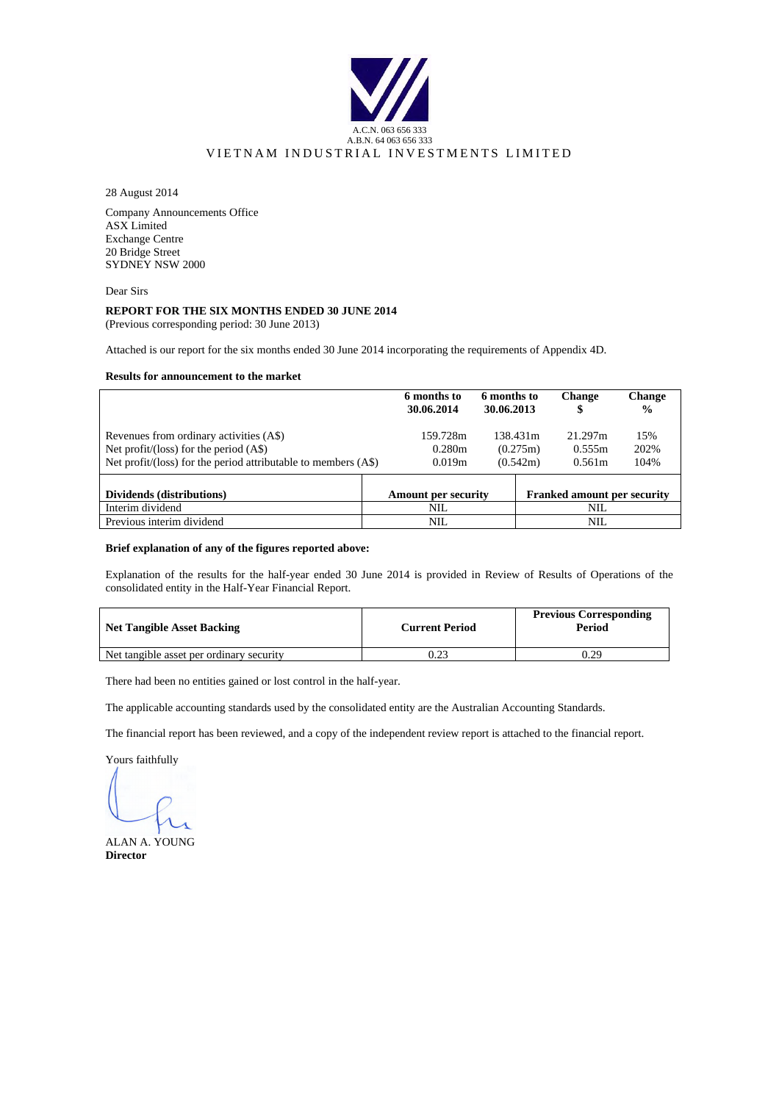

28 August 2014

Company Announcements Office ASX Limited Exchange Centre 20 Bridge Street SYDNEY NSW 2000

Dear Sirs

#### **REPORT FOR THE SIX MONTHS ENDED 30 JUNE 2014**

(Previous corresponding period: 30 June 2013)

Attached is our report for the six months ended 30 June 2014 incorporating the requirements of Appendix 4D.

#### **Results for announcement to the market**

|                                                                                                                                                      | 6 months to<br>30.06.2014    | 6 months to<br>30.06.2013 |                                  | <b>Change</b><br>\$                | <b>Change</b><br>$\frac{0}{0}$ |
|------------------------------------------------------------------------------------------------------------------------------------------------------|------------------------------|---------------------------|----------------------------------|------------------------------------|--------------------------------|
| Revenues from ordinary activities (A\$)<br>Net profit/(loss) for the period $(AS)$<br>Net profit/(loss) for the period attributable to members (A\$) | 159.728m<br>0.280m<br>0.019m |                           | 138.431m<br>(0.275m)<br>(0.542m) | 21.297m<br>0.555m<br>0.561m        | 15%<br>202\%<br>104%           |
| Dividends (distributions)                                                                                                                            | <b>Amount per security</b>   |                           |                                  | <b>Franked amount per security</b> |                                |
| Interim dividend                                                                                                                                     | <b>NIL</b>                   |                           |                                  | <b>NIL</b>                         |                                |
| Previous interim dividend                                                                                                                            | <b>NIL</b>                   |                           |                                  | NIL.                               |                                |

#### **Brief explanation of any of the figures reported above:**

Explanation of the results for the half-year ended 30 June 2014 is provided in Review of Results of Operations of the consolidated entity in the Half-Year Financial Report.

| <b>Net Tangible Asset Backing</b>        | <b>Current Period</b> | <b>Previous Corresponding</b><br>Period |
|------------------------------------------|-----------------------|-----------------------------------------|
| Net tangible asset per ordinary security |                       | 0.29                                    |

There had been no entities gained or lost control in the half-year.

The applicable accounting standards used by the consolidated entity are the Australian Accounting Standards.

The financial report has been reviewed, and a copy of the independent review report is attached to the financial report.

Yours faithfully

ALAN A. YOUNG **Director**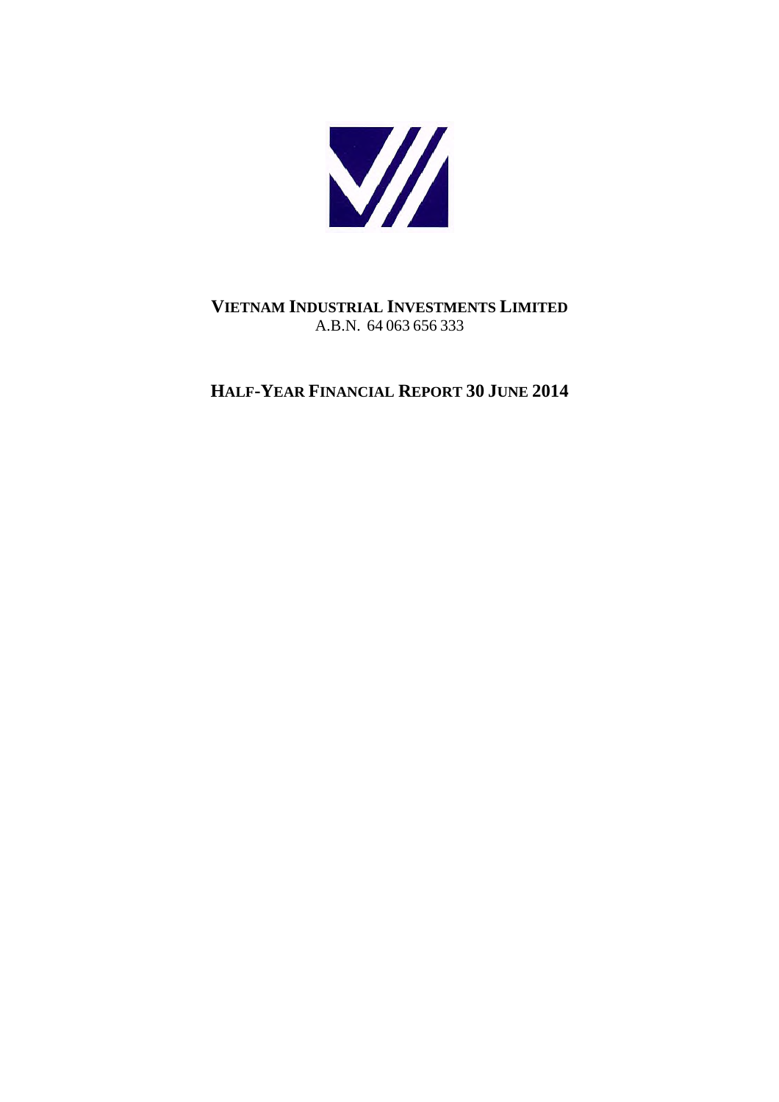

# **VIETNAM INDUSTRIAL INVESTMENTS LIMITED** A.B.N. 64 063 656 333

# **HALF-YEAR FINANCIAL REPORT 30 JUNE 2014**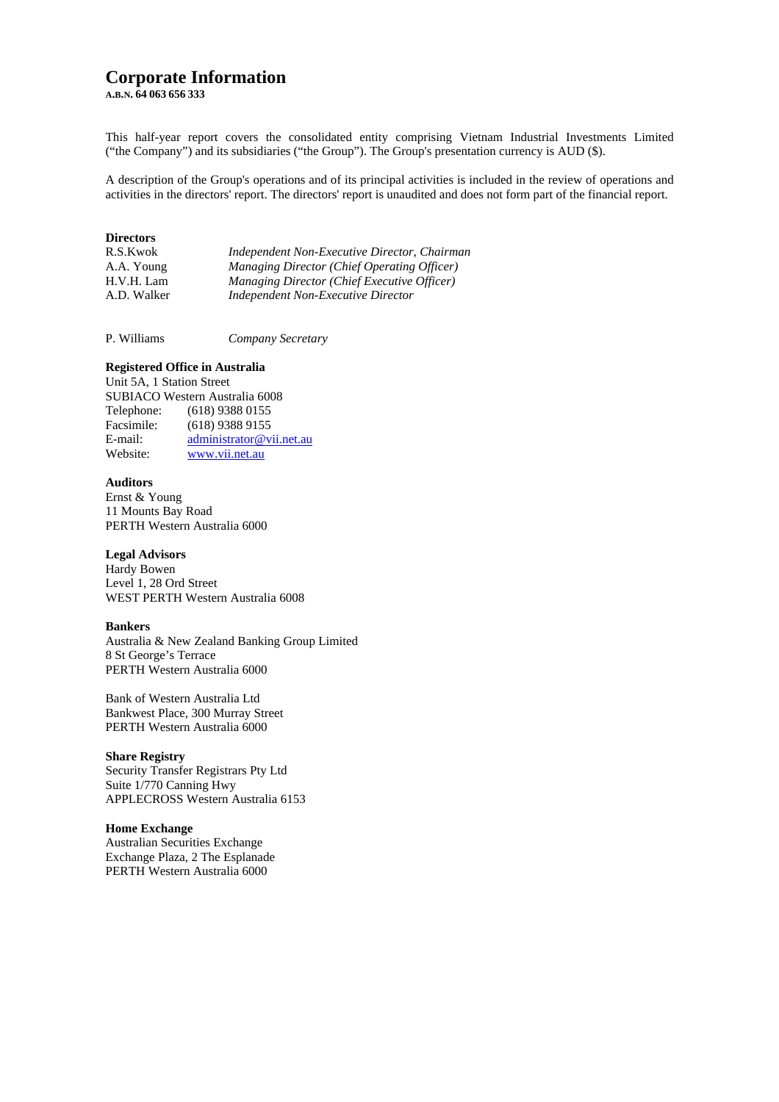# **Corporate Information**

**A.B.N. 64 063 656 333**

This half-year report covers the consolidated entity comprising Vietnam Industrial Investments Limited ("the Company") and its subsidiaries ("the Group"). The Group's presentation currency is AUD (\$).

A description of the Group's operations and of its principal activities is included in the review of operations and activities in the directors' report. The directors' report is unaudited and does not form part of the financial report.

### **Directors**

| Independent Non-Executive Director, Chairman |
|----------------------------------------------|
| Managing Director (Chief Operating Officer)  |
| Managing Director (Chief Executive Officer)  |
| Independent Non-Executive Director           |
|                                              |

P. Williams *Company Secretary*

#### **Registered Office in Australia**

Unit 5A, 1 Station Street SUBIACO Western Australia 6008 Telephone: (618) 9388 0155<br>Facsimile: (618) 9388 9155  $(618)$  9388 9155 E-mail:  $\frac{\text{administrator@vii.net.au}}{\text{www vii net au}}$ www.vii.net.au

## **Auditors**

Ernst & Young 11 Mounts Bay Road PERTH Western Australia 6000

#### **Legal Advisors**

Hardy Bowen Level 1, 28 Ord Street WEST PERTH Western Australia 6008

#### **Bankers**

Australia & New Zealand Banking Group Limited 8 St George's Terrace PERTH Western Australia 6000

Bank of Western Australia Ltd Bankwest Place, 300 Murray Street PERTH Western Australia 6000

#### **Share Registry**

Security Transfer Registrars Pty Ltd Suite 1/770 Canning Hwy APPLECROSS Western Australia 6153

## **Home Exchange**

Australian Securities Exchange Exchange Plaza, 2 The Esplanade PERTH Western Australia 6000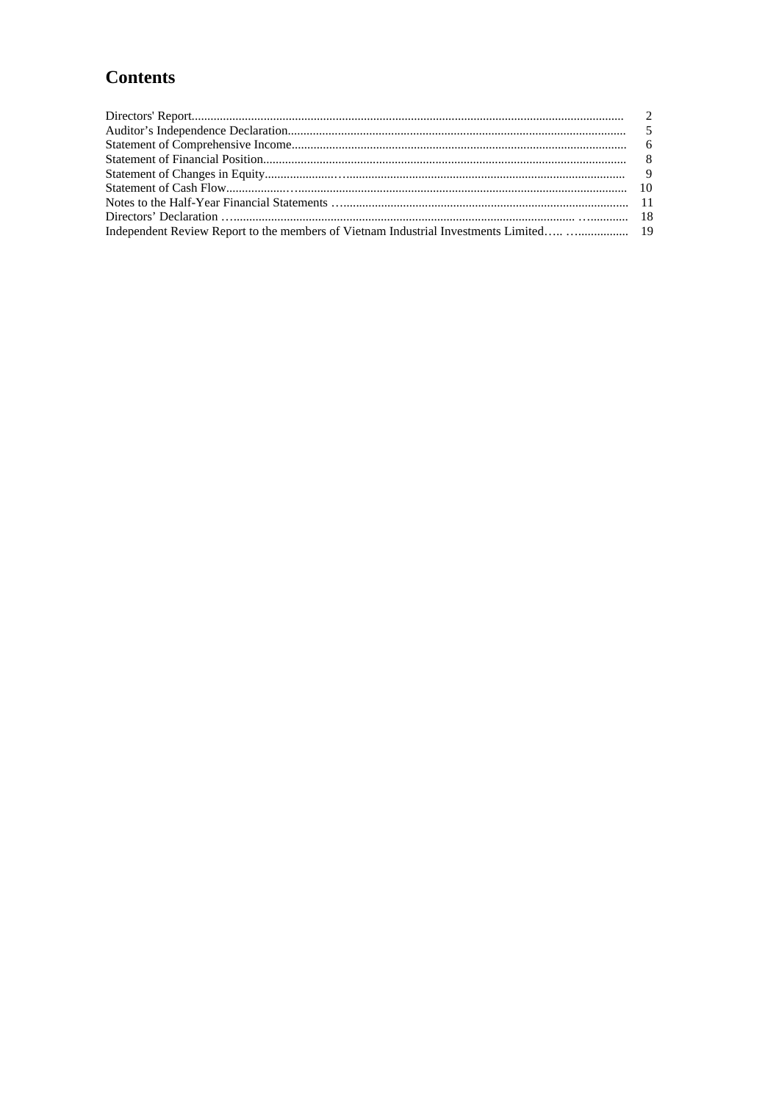# **Contents**

| Independent Review Report to the members of Vietnam Industrial Investments Limited  19 |  |
|----------------------------------------------------------------------------------------|--|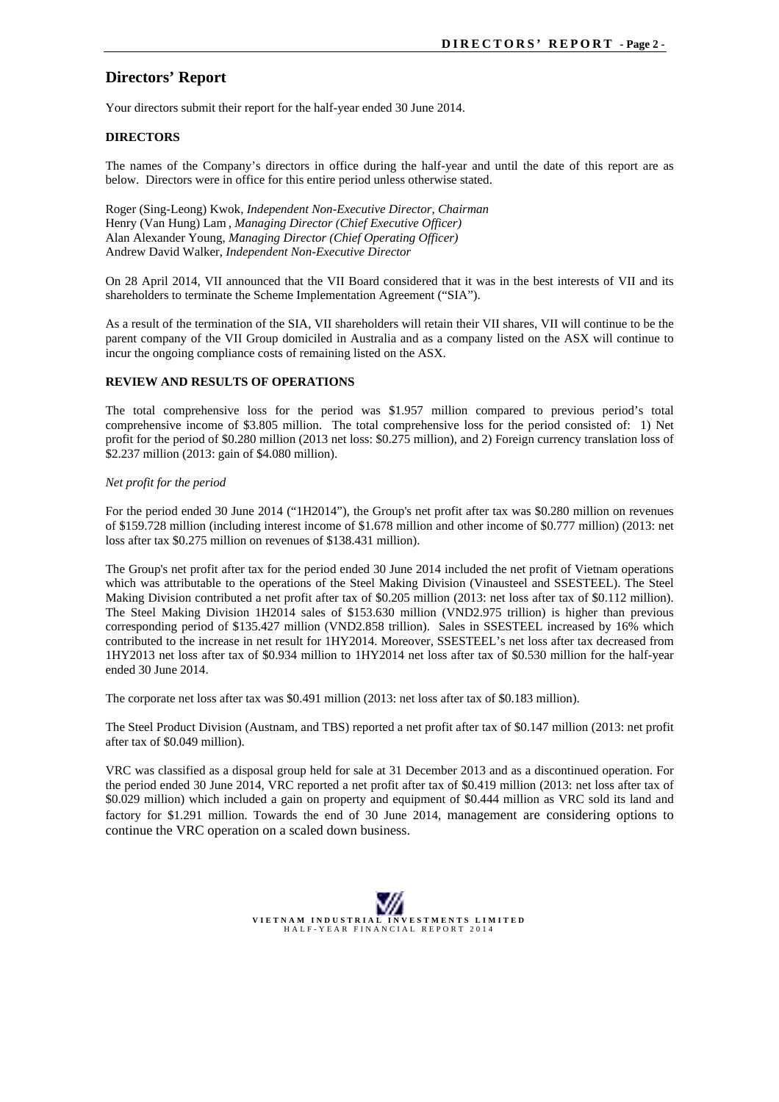# **Directors' Report**

Your directors submit their report for the half-year ended 30 June 2014.

### **DIRECTORS**

The names of the Company's directors in office during the half-year and until the date of this report are as below. Directors were in office for this entire period unless otherwise stated.

Roger (Sing-Leong) Kwok, *Independent Non-Executive Director, Chairman* Henry (Van Hung) Lam , *Managing Director (Chief Executive Officer)* Alan Alexander Young, *Managing Director (Chief Operating Officer)* Andrew David Walker, *Independent Non-Executive Director*

On 28 April 2014, VII announced that the VII Board considered that it was in the best interests of VII and its shareholders to terminate the Scheme Implementation Agreement ("SIA").

As a result of the termination of the SIA, VII shareholders will retain their VII shares, VII will continue to be the parent company of the VII Group domiciled in Australia and as a company listed on the ASX will continue to incur the ongoing compliance costs of remaining listed on the ASX.

#### **REVIEW AND RESULTS OF OPERATIONS**

The total comprehensive loss for the period was \$1.957 million compared to previous period's total comprehensive income of \$3.805 million. The total comprehensive loss for the period consisted of: 1) Net profit for the period of \$0.280 million (2013 net loss: \$0.275 million), and 2) Foreign currency translation loss of \$2.237 million (2013: gain of \$4.080 million).

#### *Net profit for the period*

For the period ended 30 June 2014 ("1H2014"), the Group's net profit after tax was \$0.280 million on revenues of \$159.728 million (including interest income of \$1.678 million and other income of \$0.777 million) (2013: net loss after tax \$0.275 million on revenues of \$138.431 million).

The Group's net profit after tax for the period ended 30 June 2014 included the net profit of Vietnam operations which was attributable to the operations of the Steel Making Division (Vinausteel and SSESTEEL). The Steel Making Division contributed a net profit after tax of \$0.205 million (2013: net loss after tax of \$0.112 million). The Steel Making Division 1H2014 sales of \$153.630 million (VND2.975 trillion) is higher than previous corresponding period of \$135.427 million (VND2.858 trillion). Sales in SSESTEEL increased by 16% which contributed to the increase in net result for 1HY2014. Moreover, SSESTEEL's net loss after tax decreased from 1HY2013 net loss after tax of \$0.934 million to 1HY2014 net loss after tax of \$0.530 million for the half-year ended  $30$  June  $2014$ .

The corporate net loss after tax was \$0.491 million (2013: net loss after tax of \$0.183 million).

The Steel Product Division (Austnam, and TBS) reported a net profit after tax of \$0.147 million (2013: net profit after tax of \$0.049 million).

VRC was classified as a disposal group held for sale at 31 December 2013 and as a discontinued operation. For the period ended 30 June 2014, VRC reported a net profit after tax of \$0.419 million (2013: net loss after tax of \$0.029 million) which included a gain on property and equipment of \$0.444 million as VRC sold its land and factory for \$1.291 million. Towards the end of 30 June 2014, management are considering options to continue the VRC operation on a scaled down business.

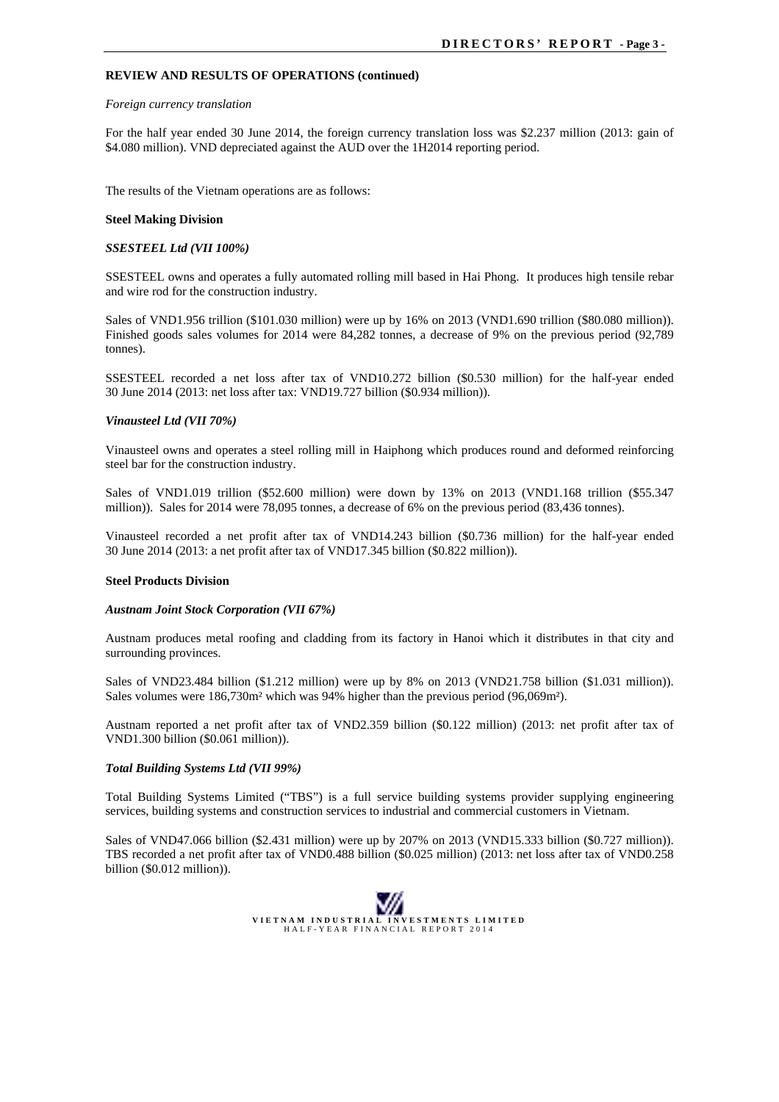#### **REVIEW AND RESULTS OF OPERATIONS (continued)**

#### *Foreign currency translation*

For the half year ended 30 June 2014, the foreign currency translation loss was \$2.237 million (2013: gain of \$4.080 million). VND depreciated against the AUD over the 1H2014 reporting period.

The results of the Vietnam operations are as follows:

#### **Steel Making Division**

#### *SSESTEEL Ltd (VII 100%)*

SSESTEEL owns and operates a fully automated rolling mill based in Hai Phong. It produces high tensile rebar and wire rod for the construction industry.

Sales of VND1.956 trillion (\$101.030 million) were up by 16% on 2013 (VND1.690 trillion (\$80.080 million)). Finished goods sales volumes for 2014 were 84,282 tonnes, a decrease of 9% on the previous period (92,789 tonnes).

SSESTEEL recorded a net loss after tax of VND10.272 billion (\$0.530 million) for the half-year ended 30 June 2014 (2013: net loss after tax: VND19.727 billion (\$0.934 million)).

#### *Vinausteel Ltd (VII 70%)*

Vinausteel owns and operates a steel rolling mill in Haiphong which produces round and deformed reinforcing steel bar for the construction industry.

Sales of VND1.019 trillion (\$52.600 million) were down by 13% on 2013 (VND1.168 trillion (\$55.347 million)). Sales for 2014 were 78,095 tonnes, a decrease of 6% on the previous period (83,436 tonnes).

Vinausteel recorded a net profit after tax of VND14.243 billion (\$0.736 million) for the half-year ended 30 June 2014 (2013: a net profit after tax of VND17.345 billion (\$0.822 million)).

#### **Steel Products Division**

#### *Austnam Joint Stock Corporation (VII 67%)*

Austnam produces metal roofing and cladding from its factory in Hanoi which it distributes in that city and surrounding provinces.

Sales of VND23.484 billion (\$1.212 million) were up by 8% on 2013 (VND21.758 billion (\$1.031 million)). Sales volumes were 186,730m² which was 94% higher than the previous period (96,069m²).

Austnam reported a net profit after tax of VND2.359 billion (\$0.122 million) (2013: net profit after tax of VND1.300 billion (\$0.061 million)).

#### *Total Building Systems Ltd (VII 99%)*

Total Building Systems Limited ("TBS") is a full service building systems provider supplying engineering services, building systems and construction services to industrial and commercial customers in Vietnam.

Sales of VND47.066 billion (\$2.431 million) were up by 207% on 2013 (VND15.333 billion (\$0.727 million)). TBS recorded a net profit after tax of VND0.488 billion (\$0.025 million) (2013: net loss after tax of VND0.258 billion (\$0.012 million)).

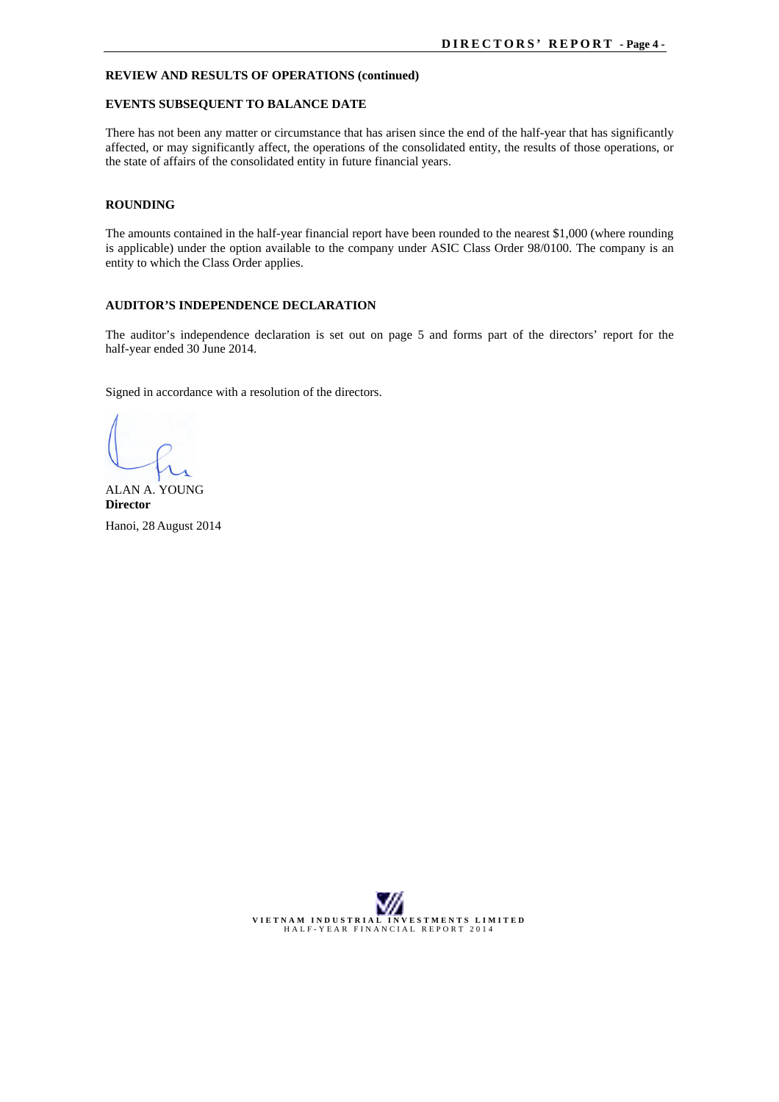#### **REVIEW AND RESULTS OF OPERATIONS (continued)**

#### **EVENTS SUBSEQUENT TO BALANCE DATE**

There has not been any matter or circumstance that has arisen since the end of the half-year that has significantly affected, or may significantly affect, the operations of the consolidated entity, the results of those operations, or the state of affairs of the consolidated entity in future financial years.

#### **ROUNDING**

The amounts contained in the half-year financial report have been rounded to the nearest \$1,000 (where rounding is applicable) under the option available to the company under ASIC Class Order 98/0100. The company is an entity to which the Class Order applies.

#### **AUDITOR'S INDEPENDENCE DECLARATION**

The auditor's independence declaration is set out on page 5 and forms part of the directors' report for the half-year ended 30 June 2014.

Signed in accordance with a resolution of the directors.

ALAN A. YOUNG **Director** Hanoi, 28 August 2014

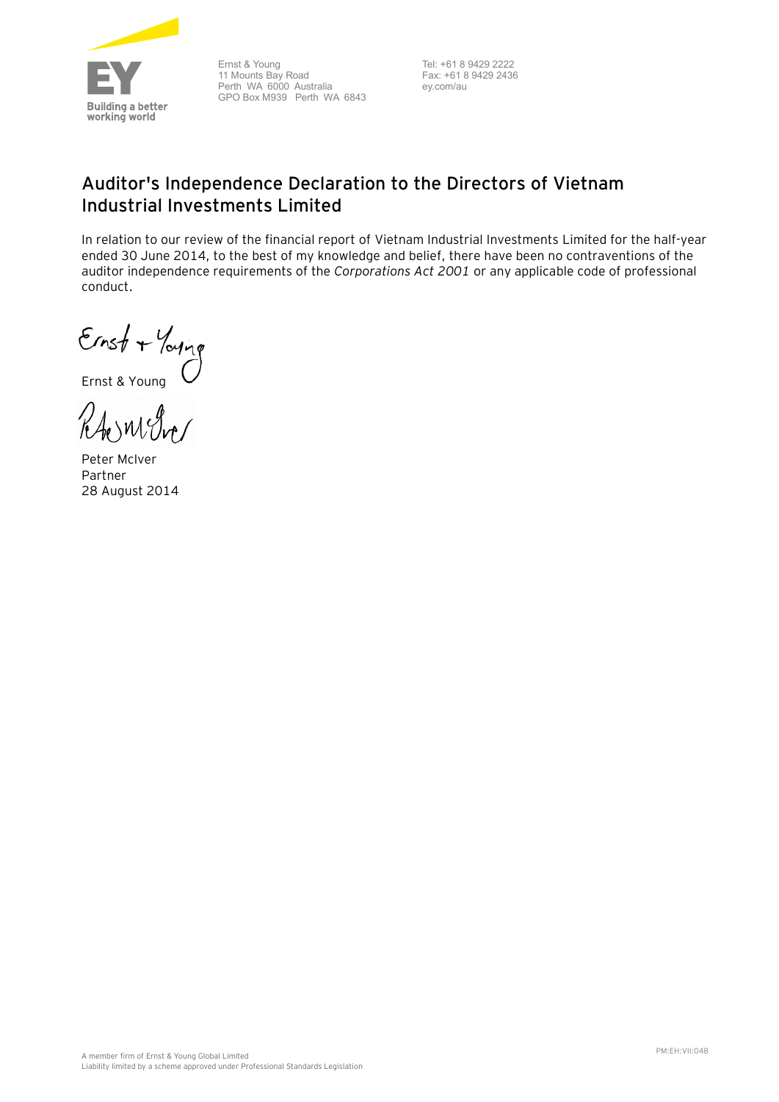

Ernst & Young 11 Mounts Bay Road Perth WA 6000 Australia GPO Box M939 Perth WA 6843

Tel: +61 8 9429 2222 Fax: +61 8 9429 2436 ey.com/au

# **Auditor's Independence Declaration to the Directors of Vietnam Industrial Investments Limited**

In relation to our review of the financial report of Vietnam Industrial Investments Limited for the half-year ended 30 June 2014, to the best of my knowledge and belief, there have been no contraventions of the auditor independence requirements of the *Corporations Act 2001* or any applicable code of professional conduct.

Ernst + Young<br>Ernst & Young

RAOMERO

Peter McIver Partner 28 August 2014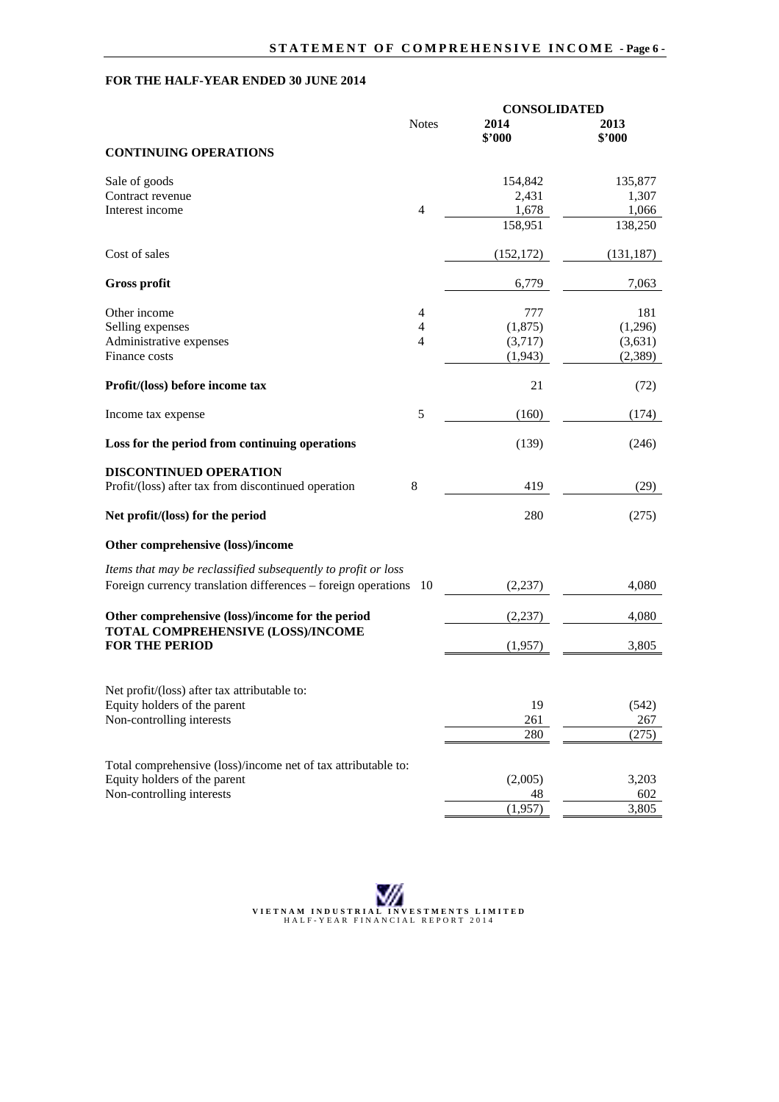# **FOR THE HALF-YEAR ENDED 30 JUNE 2014**

|                                                                  |                | <b>CONSOLIDATED</b> |                |
|------------------------------------------------------------------|----------------|---------------------|----------------|
|                                                                  | <b>Notes</b>   | 2014<br>\$'000      | 2013<br>\$'000 |
| <b>CONTINUING OPERATIONS</b>                                     |                |                     |                |
| Sale of goods                                                    |                | 154,842             | 135,877        |
| Contract revenue                                                 |                | 2,431               | 1,307          |
| Interest income                                                  | $\overline{4}$ | 1,678               | 1,066          |
|                                                                  |                | 158,951             | 138,250        |
| Cost of sales                                                    |                | (152, 172)          | (131, 187)     |
| <b>Gross profit</b>                                              |                | 6,779               | 7,063          |
| Other income                                                     | 4              | 777                 | 181            |
| Selling expenses                                                 | 4              | (1,875)             | (1,296)        |
| Administrative expenses                                          | $\overline{4}$ | (3,717)             | (3,631)        |
| Finance costs                                                    |                | (1,943)             | (2,389)        |
| Profit/(loss) before income tax                                  |                | 21                  | (72)           |
| Income tax expense                                               | $\mathfrak s$  | (160)               | (174)          |
| Loss for the period from continuing operations                   |                | (139)               | (246)          |
| <b>DISCONTINUED OPERATION</b>                                    |                |                     |                |
| Profit/(loss) after tax from discontinued operation              | $8\,$          | 419                 | (29)           |
| Net profit/(loss) for the period                                 |                | 280                 | (275)          |
| Other comprehensive (loss)/income                                |                |                     |                |
| Items that may be reclassified subsequently to profit or loss    |                |                     |                |
| Foreign currency translation differences – foreign operations 10 |                | (2,237)             | 4,080          |
| Other comprehensive (loss)/income for the period                 |                | (2,237)             | 4,080          |
| TOTAL COMPREHENSIVE (LOSS)/INCOME                                |                |                     |                |
| <b>FOR THE PERIOD</b>                                            |                | (1,957)             | 3,805          |
| Net profit/(loss) after tax attributable to:                     |                |                     |                |
| Equity holders of the parent                                     |                | 19                  | (542)          |
| Non-controlling interests                                        |                | 261                 | 267            |
|                                                                  |                | 280                 | (275)          |
| Total comprehensive (loss)/income net of tax attributable to:    |                |                     |                |
| Equity holders of the parent                                     |                | (2,005)             | 3,203          |
| Non-controlling interests                                        |                | 48                  | 602            |
|                                                                  |                | (1,957)             | 3,805          |

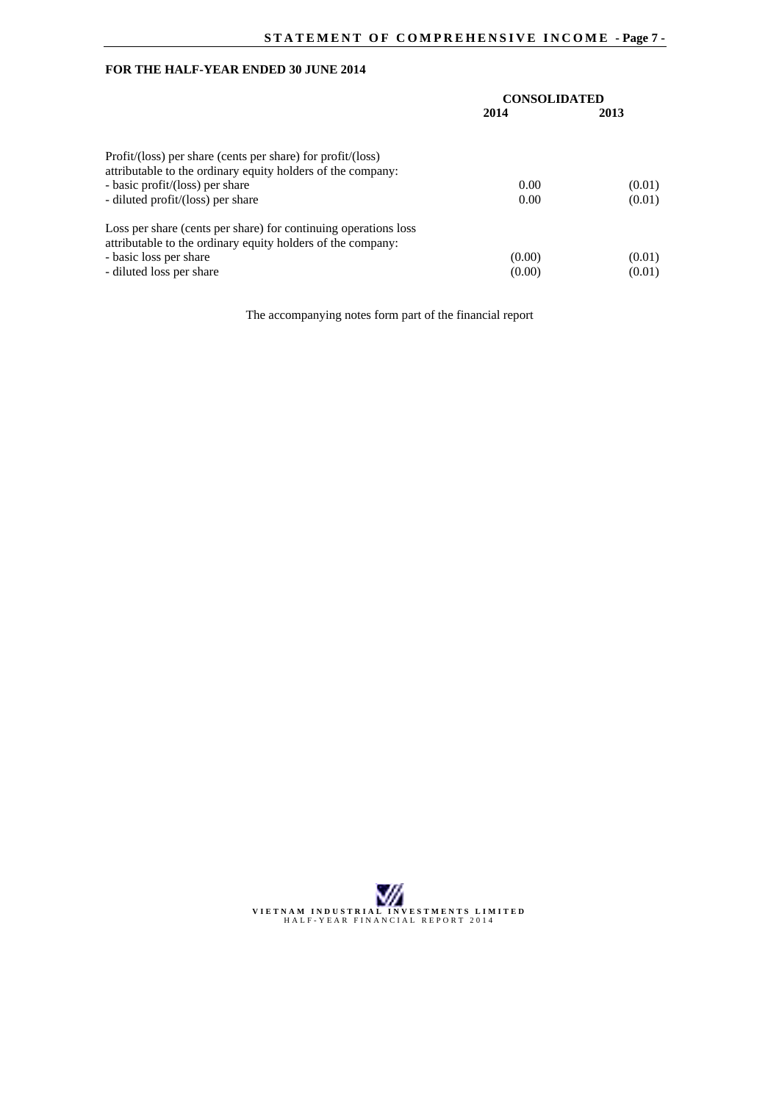# **FOR THE HALF-YEAR ENDED 30 JUNE 2014**

|                                                                                                                                                | <b>CONSOLIDATED</b> |        |  |
|------------------------------------------------------------------------------------------------------------------------------------------------|---------------------|--------|--|
|                                                                                                                                                | 2014                | 2013   |  |
| Profit/ $(\text{loss})$ per share (cents per share) for profit/ $(\text{loss})$<br>attributable to the ordinary equity holders of the company: |                     |        |  |
| - basic profit/(loss) per share                                                                                                                | 0.00                | (0.01) |  |
| - diluted profit/(loss) per share                                                                                                              | 0.00                | (0.01) |  |
| Loss per share (cents per share) for continuing operations loss<br>attributable to the ordinary equity holders of the company:                 |                     |        |  |
| - basic loss per share                                                                                                                         | (0.00)              | (0.01) |  |
| - diluted loss per share                                                                                                                       | (0.00)              | (0.01) |  |

The accompanying notes form part of the financial report

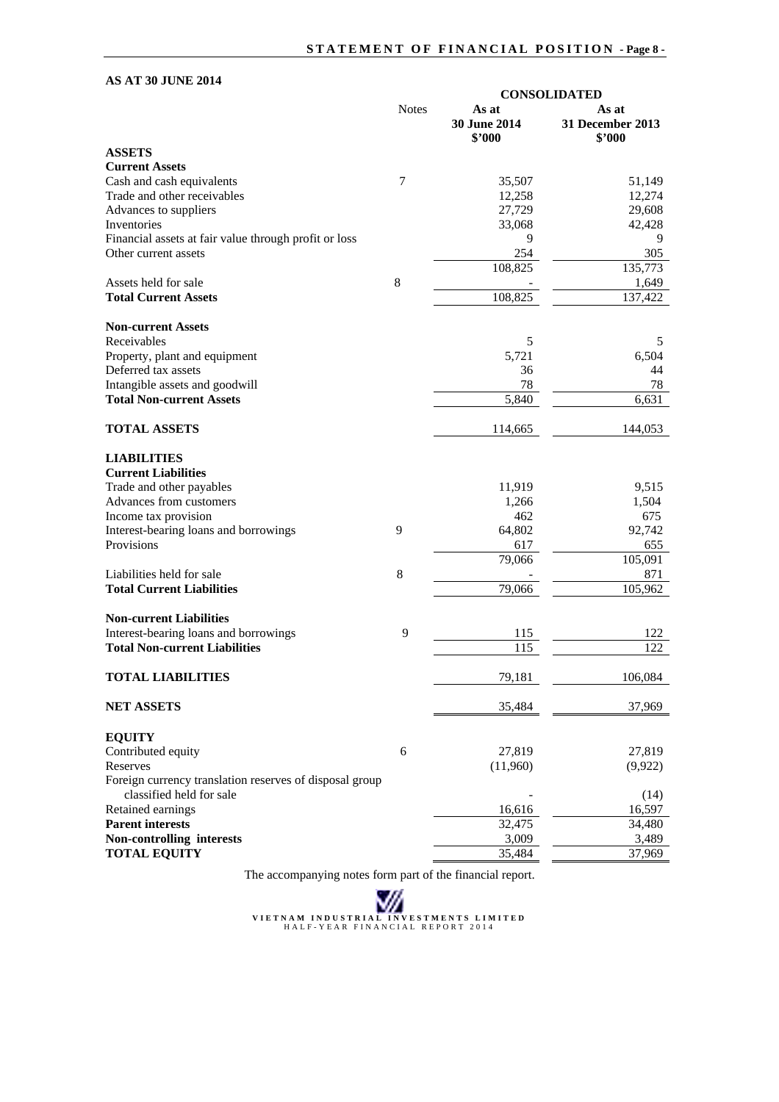# **AS AT 30 JUNE 2014**

|                                                         |              | <b>CONSOLIDATED</b>    |                            |
|---------------------------------------------------------|--------------|------------------------|----------------------------|
|                                                         | <b>Notes</b> | As at                  | As at                      |
|                                                         |              | 30 June 2014<br>\$'000 | 31 December 2013<br>\$2000 |
| <b>ASSETS</b>                                           |              |                        |                            |
| <b>Current Assets</b>                                   |              |                        |                            |
| Cash and cash equivalents                               | 7            | 35,507                 | 51,149                     |
| Trade and other receivables                             |              | 12,258                 | 12,274                     |
| Advances to suppliers                                   |              | 27,729                 | 29,608                     |
| Inventories                                             |              | 33,068                 | 42,428                     |
| Financial assets at fair value through profit or loss   |              | 9                      | 9                          |
| Other current assets                                    |              | 254                    | 305                        |
|                                                         |              | 108,825                | 135,773                    |
| Assets held for sale                                    | 8            |                        | 1,649                      |
| <b>Total Current Assets</b>                             |              |                        |                            |
|                                                         |              | 108,825                | 137,422                    |
| <b>Non-current Assets</b>                               |              |                        |                            |
| Receivables                                             |              | 5                      | 5                          |
| Property, plant and equipment                           |              | 5,721                  | 6,504                      |
| Deferred tax assets                                     |              | 36                     | 44                         |
| Intangible assets and goodwill                          |              | 78                     | 78                         |
| <b>Total Non-current Assets</b>                         |              | 5,840                  | 6,631                      |
| <b>TOTAL ASSETS</b>                                     |              | 114,665                | 144,053                    |
|                                                         |              |                        |                            |
| <b>LIABILITIES</b>                                      |              |                        |                            |
| <b>Current Liabilities</b>                              |              |                        |                            |
| Trade and other payables                                |              | 11,919                 | 9,515                      |
| Advances from customers                                 |              | 1,266                  | 1,504                      |
| Income tax provision                                    |              | 462                    | 675                        |
| Interest-bearing loans and borrowings                   | 9            | 64,802                 | 92,742                     |
| Provisions                                              |              | 617                    | 655                        |
|                                                         |              | 79,066                 | 105,091                    |
| Liabilities held for sale                               | 8            |                        | 871                        |
| <b>Total Current Liabilities</b>                        |              | 79,066                 | 105,962                    |
| <b>Non-current Liabilities</b>                          |              |                        |                            |
| Interest-bearing loans and borrowings                   | 9            | 115                    | 122                        |
| <b>Total Non-current Liabilities</b>                    |              | 115                    | 122                        |
| <b>TOTAL LIABILITIES</b>                                |              | 79,181                 | 106,084                    |
| <b>NET ASSETS</b>                                       |              | 35,484                 | 37,969                     |
|                                                         |              |                        |                            |
| <b>EQUITY</b>                                           |              |                        |                            |
| Contributed equity                                      | 6            | 27,819                 | 27,819                     |
| Reserves                                                |              | (11,960)               | (9,922)                    |
| Foreign currency translation reserves of disposal group |              |                        |                            |
| classified held for sale                                |              |                        | (14)                       |
| Retained earnings                                       |              | 16,616                 | 16,597                     |
| <b>Parent interests</b>                                 |              | 32,475                 | 34,480                     |
| Non-controlling interests                               |              | 3,009                  | 3,489                      |
| <b>TOTAL EQUITY</b>                                     |              | 35,484                 | 37,969                     |

The accompanying notes form part of the financial report.

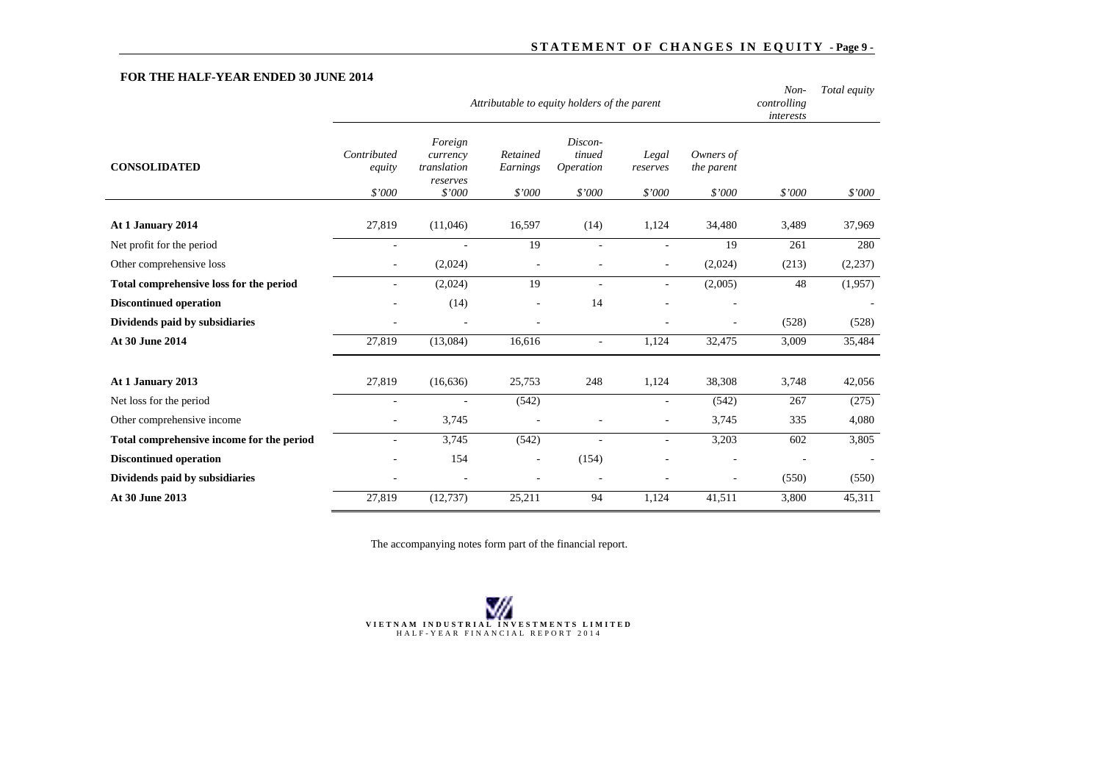# STATEMENT OF CHANGES IN EQUITY - Page 9 -

## **FOR THE HALF-YEAR ENDED 30 JUNE 2014**

|                                                                                                                                                                                                          | controlling<br>interests |          |
|----------------------------------------------------------------------------------------------------------------------------------------------------------------------------------------------------------|--------------------------|----------|
| Discon-<br>Foreign<br>Contributed<br>Retained<br>tinued<br>Owners of<br>Legal<br>currency<br><b>CONSOLIDATED</b><br>translation<br>Operation<br>Earnings<br>the parent<br>equity<br>reserves<br>reserves |                          |          |
| \$'000<br>\$'000<br>\$'000<br>\$'000<br>\$'000<br>\$'000                                                                                                                                                 | \$'000                   | \$7000   |
| At 1 January 2014<br>27,819<br>16,597<br>1,124<br>(11,046)<br>(14)<br>34,480                                                                                                                             | 3,489                    | 37,969   |
| 19<br>19<br>Net profit for the period<br>$\overline{\phantom{a}}$<br>$\overline{\phantom{a}}$<br>$\overline{\phantom{a}}$                                                                                | 261                      | 280      |
| Other comprehensive loss<br>(2,024)<br>(2,024)<br>$\sim$<br>٠<br>$\sim$                                                                                                                                  | (213)                    | (2, 237) |
| 19<br>(2,024)<br>(2,005)<br>Total comprehensive loss for the period<br>$\overline{a}$<br>٠<br>۰                                                                                                          | 48                       | (1,957)  |
| <b>Discontinued operation</b><br>(14)<br>14<br>$\sim$<br>$\sim$                                                                                                                                          |                          |          |
| Dividends paid by subsidiaries<br>$\sim$<br>$\overline{\phantom{a}}$                                                                                                                                     | (528)                    | (528)    |
| At 30 June 2014<br>27,819<br>(13,084)<br>16,616<br>1,124<br>32,475<br>$\sim$                                                                                                                             | 3,009                    | 35,484   |
|                                                                                                                                                                                                          |                          |          |
| At 1 January 2013<br>27,819<br>248<br>1,124<br>38,308<br>(16, 636)<br>25,753                                                                                                                             | 3,748                    | 42,056   |
| Net loss for the period<br>(542)<br>(542)<br>$\sim$<br>$\overline{\phantom{a}}$                                                                                                                          | 267                      | (275)    |
| Other comprehensive income<br>3,745<br>3,745<br>÷.<br>٠<br>$\sim$                                                                                                                                        | 335                      | 4,080    |
| 3,745<br>Total comprehensive income for the period<br>(542)<br>3,203<br>$\sim$<br>÷<br>$\overline{\phantom{0}}$                                                                                          | 602                      | 3,805    |
| Discontinued operation<br>154<br>(154)                                                                                                                                                                   |                          |          |
| Dividends paid by subsidiaries<br>$\sim$<br>$\overline{\phantom{a}}$<br>$\overline{a}$<br>$\overline{\phantom{a}}$                                                                                       | (550)                    | (550)    |
| At 30 June 2013<br>94<br>27,819<br>(12, 737)<br>25,211<br>1.124<br>41,511                                                                                                                                | 3,800                    | 45,311   |

The accompanying notes form part of the financial report.

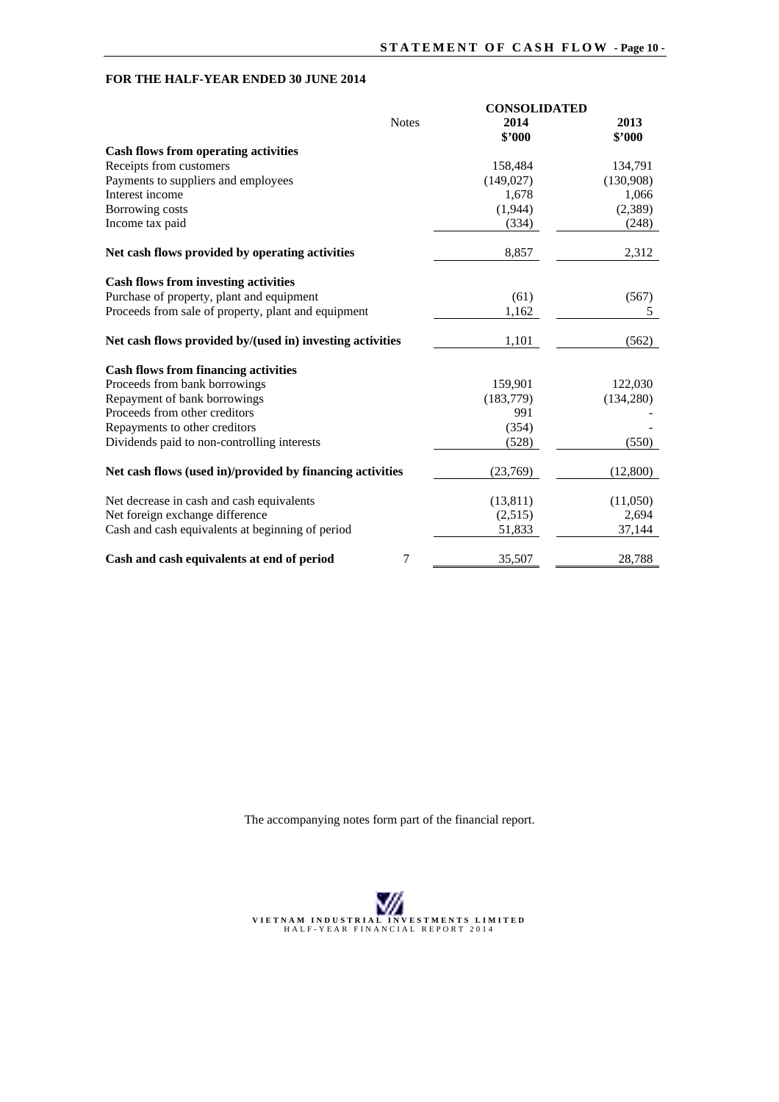# **FOR THE HALF-YEAR ENDED 30 JUNE 2014**

|                                                           | <b>CONSOLIDATED</b> |                |  |  |
|-----------------------------------------------------------|---------------------|----------------|--|--|
| <b>Notes</b>                                              | 2014<br>\$'000      | 2013<br>\$'000 |  |  |
| <b>Cash flows from operating activities</b>               |                     |                |  |  |
| Receipts from customers                                   | 158,484             | 134,791        |  |  |
| Payments to suppliers and employees                       | (149, 027)          | (130,908)      |  |  |
| Interest income                                           | 1,678               | 1,066          |  |  |
| Borrowing costs                                           | (1,944)             | (2,389)        |  |  |
| Income tax paid                                           | (334)               | (248)          |  |  |
| Net cash flows provided by operating activities           | 8,857               | 2,312          |  |  |
| <b>Cash flows from investing activities</b>               |                     |                |  |  |
| Purchase of property, plant and equipment                 | (61)                | (567)          |  |  |
| Proceeds from sale of property, plant and equipment       | 1,162               | 5              |  |  |
| Net cash flows provided by/(used in) investing activities | 1,101               | (562)          |  |  |
| <b>Cash flows from financing activities</b>               |                     |                |  |  |
| Proceeds from bank borrowings                             | 159,901             | 122,030        |  |  |
| Repayment of bank borrowings                              | (183, 779)          | (134,280)      |  |  |
| Proceeds from other creditors                             | 991                 |                |  |  |
| Repayments to other creditors                             | (354)               |                |  |  |
| Dividends paid to non-controlling interests               | (528)               | (550)          |  |  |
| Net cash flows (used in)/provided by financing activities | (23,769)            | (12,800)       |  |  |
| Net decrease in cash and cash equivalents                 | (13, 811)           | (11,050)       |  |  |
| Net foreign exchange difference                           | (2,515)             | 2,694          |  |  |
| Cash and cash equivalents at beginning of period          | 51,833              | 37,144         |  |  |
| 7<br>Cash and cash equivalents at end of period           | 35,507              | 28,788         |  |  |

The accompanying notes form part of the financial report.

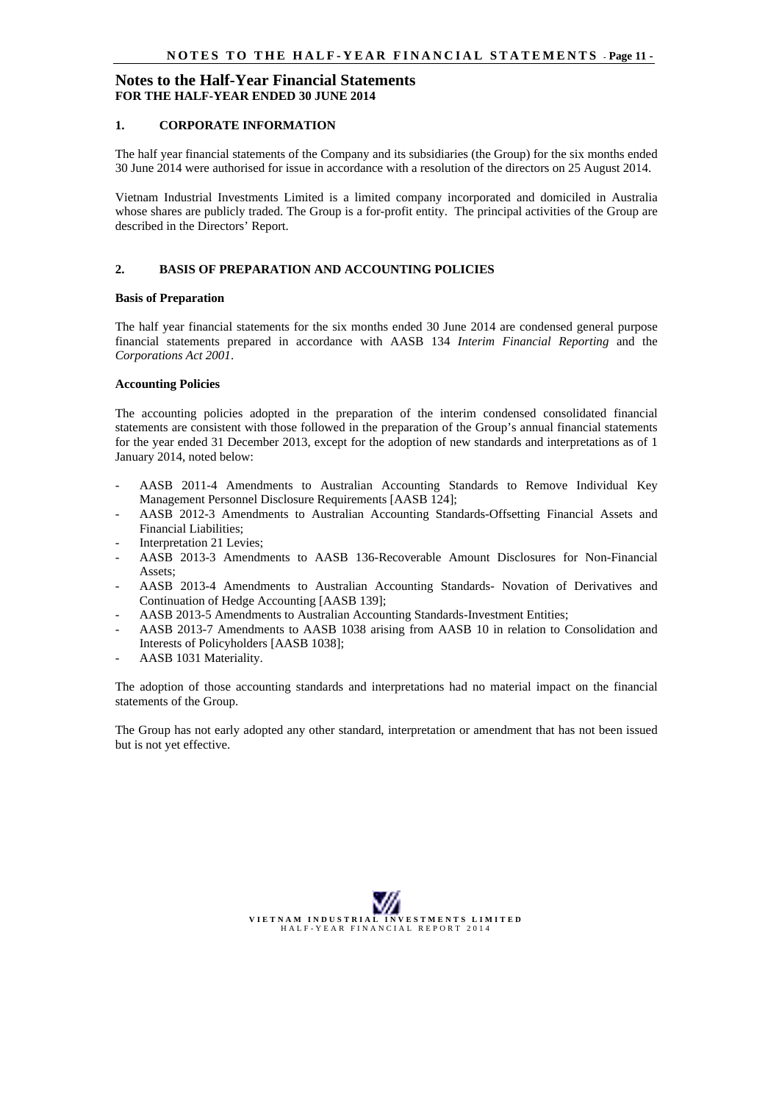#### **1. CORPORATE INFORMATION**

The half year financial statements of the Company and its subsidiaries (the Group) for the six months ended 30 June 2014 were authorised for issue in accordance with a resolution of the directors on 25 August 2014.

Vietnam Industrial Investments Limited is a limited company incorporated and domiciled in Australia whose shares are publicly traded. The Group is a for-profit entity. The principal activities of the Group are described in the Directors' Report.

# **2. BASIS OF PREPARATION AND ACCOUNTING POLICIES**

#### **Basis of Preparation**

The half year financial statements for the six months ended 30 June 2014 are condensed general purpose financial statements prepared in accordance with AASB 134 *Interim Financial Reporting* and the *Corporations Act 2001*.

#### **Accounting Policies**

The accounting policies adopted in the preparation of the interim condensed consolidated financial statements are consistent with those followed in the preparation of the Group's annual financial statements for the year ended 31 December 2013, except for the adoption of new standards and interpretations as of 1 January 2014, noted below:

- AASB 2011-4 Amendments to Australian Accounting Standards to Remove Individual Key Management Personnel Disclosure Requirements [AASB 124];
- AASB 2012-3 Amendments to Australian Accounting Standards-Offsetting Financial Assets and Financial Liabilities;
- Interpretation 21 Levies:
- AASB 2013-3 Amendments to AASB 136-Recoverable Amount Disclosures for Non-Financial Assets;
- AASB 2013-4 Amendments to Australian Accounting Standards- Novation of Derivatives and Continuation of Hedge Accounting [AASB 139];
- AASB 2013-5 Amendments to Australian Accounting Standards-Investment Entities;
- AASB 2013-7 Amendments to AASB 1038 arising from AASB 10 in relation to Consolidation and Interests of Policyholders [AASB 1038];
- AASB 1031 Materiality.

The adoption of those accounting standards and interpretations had no material impact on the financial statements of the Group.

The Group has not early adopted any other standard, interpretation or amendment that has not been issued but is not yet effective.

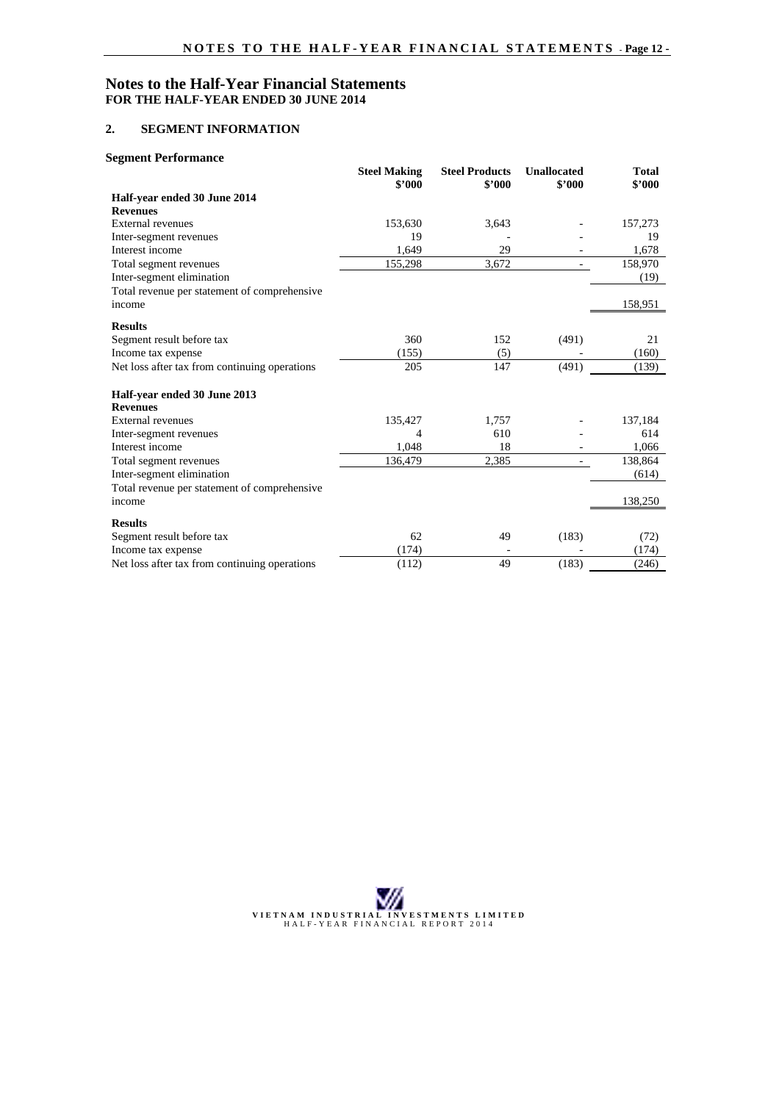### **2. SEGMENT INFORMATION**

#### **Segment Performance**

|                                               | <b>Steel Making</b><br>\$2000 | <b>Steel Products</b><br>\$2000 | <b>Unallocated</b><br>\$2000 | <b>Total</b><br>\$2000 |
|-----------------------------------------------|-------------------------------|---------------------------------|------------------------------|------------------------|
| Half-year ended 30 June 2014                  |                               |                                 |                              |                        |
| <b>Revenues</b>                               |                               |                                 |                              |                        |
| External revenues                             | 153,630                       | 3,643                           |                              | 157,273                |
| Inter-segment revenues                        | 19                            |                                 |                              | 19                     |
| Interest income                               | 1,649                         | 29                              |                              | 1,678                  |
| Total segment revenues                        | 155,298                       | 3,672                           |                              | 158,970                |
| Inter-segment elimination                     |                               |                                 |                              | (19)                   |
| Total revenue per statement of comprehensive  |                               |                                 |                              |                        |
| income                                        |                               |                                 |                              | 158,951                |
| <b>Results</b>                                |                               |                                 |                              |                        |
| Segment result before tax                     | 360                           | 152                             | (491)                        | 21                     |
| Income tax expense                            | (155)                         | (5)                             |                              | (160)                  |
| Net loss after tax from continuing operations | 205                           | 147                             | (491)                        | (139)                  |
| Half-year ended 30 June 2013                  |                               |                                 |                              |                        |
| <b>Revenues</b>                               |                               |                                 |                              |                        |
| External revenues                             | 135,427                       | 1,757                           |                              | 137,184                |
| Inter-segment revenues                        | 4                             | 610                             |                              | 614                    |
| Interest income                               | 1,048                         | 18                              |                              | 1,066                  |
| Total segment revenues                        | 136,479                       | 2,385                           |                              | 138,864                |
| Inter-segment elimination                     |                               |                                 |                              | (614)                  |
| Total revenue per statement of comprehensive  |                               |                                 |                              |                        |
| income                                        |                               |                                 |                              | 138,250                |
| <b>Results</b>                                |                               |                                 |                              |                        |
| Segment result before tax                     | 62                            | 49                              | (183)                        | (72)                   |
| Income tax expense                            | (174)                         |                                 |                              | (174)                  |
| Net loss after tax from continuing operations | (112)                         | 49                              | (183)                        | (246)                  |

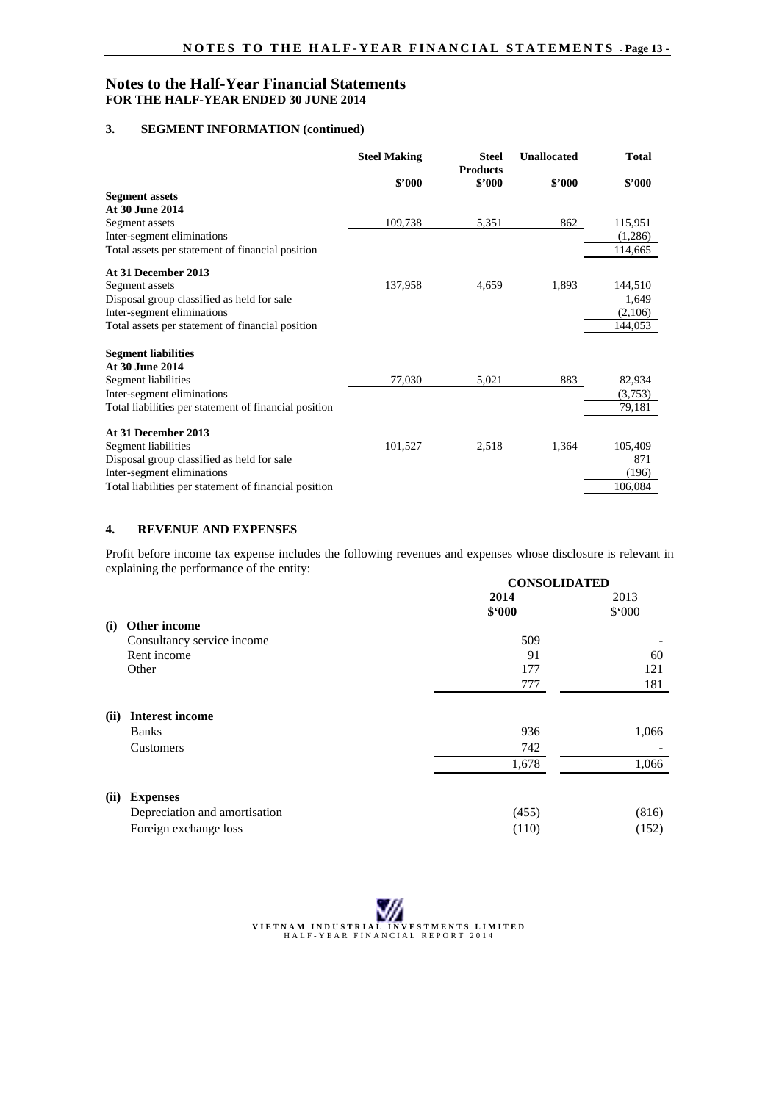#### **3. SEGMENT INFORMATION (continued)**

|                                                       | <b>Steel Making</b> | <b>Steel</b>              | <b>Unallocated</b> | <b>Total</b> |
|-------------------------------------------------------|---------------------|---------------------------|--------------------|--------------|
|                                                       | \$2000              | <b>Products</b><br>\$2000 | \$2000             | \$2000       |
| <b>Segment assets</b>                                 |                     |                           |                    |              |
| At 30 June 2014                                       |                     |                           |                    |              |
| Segment assets                                        | 109,738             | 5,351                     | 862                | 115,951      |
| Inter-segment eliminations                            |                     |                           |                    | (1,286)      |
| Total assets per statement of financial position      |                     |                           |                    | 114,665      |
| At 31 December 2013                                   |                     |                           |                    |              |
| Segment assets                                        | 137,958             | 4,659                     | 1,893              | 144,510      |
| Disposal group classified as held for sale            |                     |                           |                    | 1,649        |
| Inter-segment eliminations                            |                     |                           |                    | (2,106)      |
| Total assets per statement of financial position      |                     |                           |                    | 144,053      |
| <b>Segment liabilities</b>                            |                     |                           |                    |              |
| At 30 June 2014                                       |                     |                           |                    |              |
| Segment liabilities                                   | 77,030              | 5,021                     | 883                | 82,934       |
| Inter-segment eliminations                            |                     |                           |                    | (3,753)      |
| Total liabilities per statement of financial position |                     |                           |                    | 79,181       |
| At 31 December 2013                                   |                     |                           |                    |              |
| Segment liabilities                                   | 101,527             | 2,518                     | 1,364              | 105,409      |
| Disposal group classified as held for sale            |                     |                           |                    | 871          |
| Inter-segment eliminations                            |                     |                           |                    | (196)        |
| Total liabilities per statement of financial position |                     |                           |                    | 106,084      |

#### **4. REVENUE AND EXPENSES**

Profit before income tax expense includes the following revenues and expenses whose disclosure is relevant in explaining the performance of the entity: **CONSOLIDATED**

|      |                               | <b>CUNSULIDATED</b> |        |
|------|-------------------------------|---------------------|--------|
|      |                               | 2014                | 2013   |
|      |                               | \$.000              | \$.000 |
| (i)  | Other income                  |                     |        |
|      | Consultancy service income    | 509                 |        |
|      | Rent income                   | 91                  | 60     |
|      | Other                         | 177                 | 121    |
|      |                               | 777                 | 181    |
| (ii) | <b>Interest income</b>        |                     |        |
|      | <b>Banks</b>                  | 936                 | 1,066  |
|      | Customers                     | 742                 |        |
|      |                               | 1,678               | 1,066  |
| (ii) | <b>Expenses</b>               |                     |        |
|      | Depreciation and amortisation | (455)               | (816)  |
|      | Foreign exchange loss         | (110)               | (152)  |

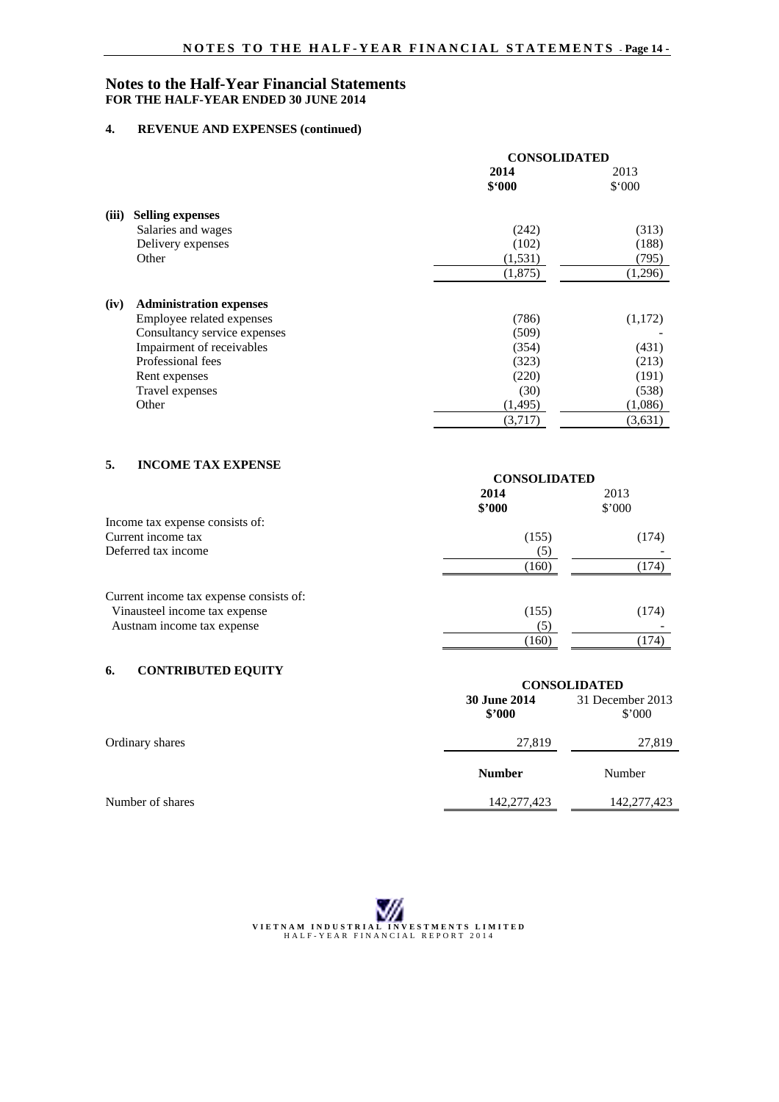## **4. REVENUE AND EXPENSES (continued)**

|       |                                | <b>CONSOLIDATED</b> |         |
|-------|--------------------------------|---------------------|---------|
|       |                                | 2014                | 2013    |
|       |                                | \$.000              | \$.000  |
| (iii) | <b>Selling expenses</b>        |                     |         |
|       | Salaries and wages             | (242)               | (313)   |
|       | Delivery expenses              | (102)               | (188)   |
|       | Other                          | (1,531)             | (795)   |
|       |                                | (1,875)             | (1,296) |
| (iv)  | <b>Administration expenses</b> |                     |         |
|       | Employee related expenses      | (786)               | (1,172) |
|       | Consultancy service expenses   | (509)               |         |
|       | Impairment of receivables      | (354)               | (431)   |
|       | Professional fees              | (323)               | (213)   |
|       | Rent expenses                  | (220)               | (191)   |
|       | Travel expenses                | (30)                | (538)   |
|       | Other                          | (1, 495)            | (1,086) |
|       |                                | (3,717)             | (3,631) |

# **5. INCOME TAX EXPENSE**

|                                         | <b>CONSOLIDATED</b> |        |
|-----------------------------------------|---------------------|--------|
|                                         | 2014                | 2013   |
|                                         | \$2000              | \$'000 |
| Income tax expense consists of:         |                     |        |
| Current income tax                      | (155)               | (174)  |
| Deferred tax income                     | (5)                 |        |
|                                         | (160)               | (174)  |
| Current income tax expense consists of: |                     |        |
| Vinausteel income tax expense           | (155)               | (174)  |
| Austnam income tax expense              | (5)                 |        |
|                                         | (160)               | 174)   |
|                                         |                     |        |

# **6. CONTRIBUTED EQUITY**

| $\cdot$          | <b>CONSOLIDATED</b>           |                                    |
|------------------|-------------------------------|------------------------------------|
|                  | <b>30 June 2014</b><br>\$2000 | 31 December 2013<br>$$^{\circ}000$ |
| Ordinary shares  | 27,819                        | 27,819                             |
|                  | <b>Number</b>                 | Number                             |
| Number of shares | 142,277,423                   | 142,277,423                        |

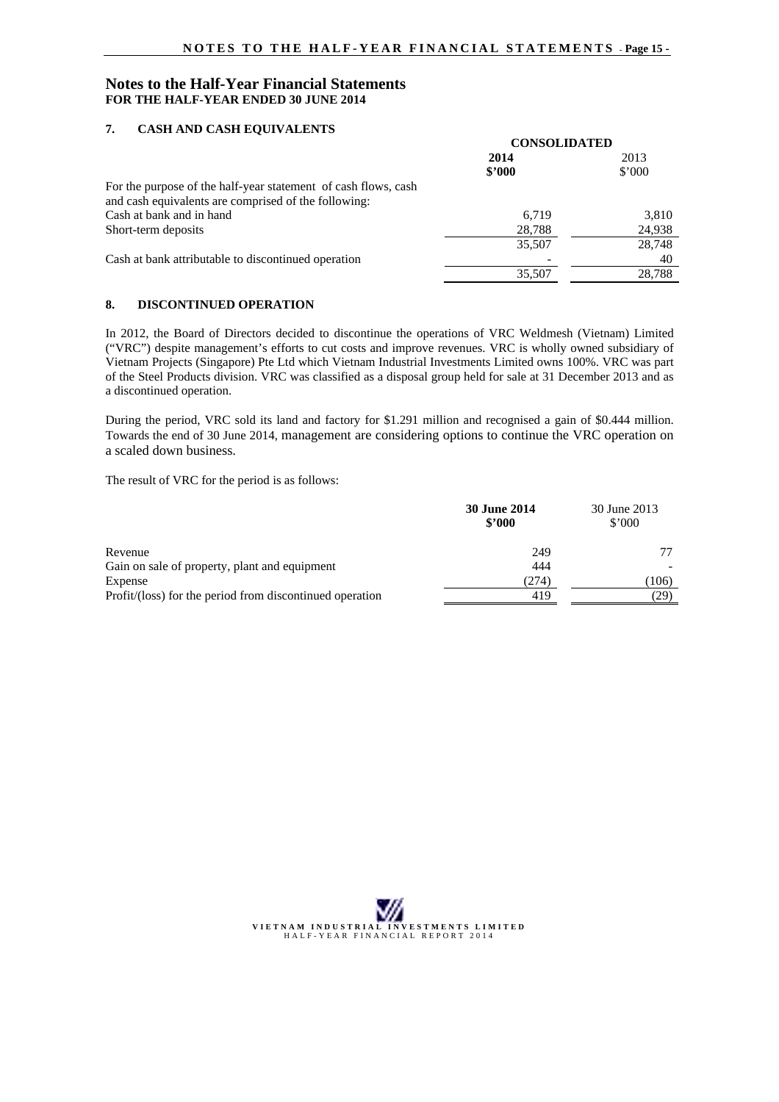## **7. CASH AND CASH EQUIVALENTS**

|                                                                | <b>CONSOLIDATED</b> |                |
|----------------------------------------------------------------|---------------------|----------------|
|                                                                | 2014                | 2013           |
|                                                                | \$2000              | $$^{\circ}000$ |
| For the purpose of the half-year statement of cash flows, cash |                     |                |
| and cash equivalents are comprised of the following:           |                     |                |
| Cash at bank and in hand                                       | 6.719               | 3,810          |
| Short-term deposits                                            | 28,788              | 24,938         |
|                                                                | 35,507              | 28,748         |
| Cash at bank attributable to discontinued operation            |                     | 40             |
|                                                                | 35,507              | 28.788         |

#### **8. DISCONTINUED OPERATION**

In 2012, the Board of Directors decided to discontinue the operations of VRC Weldmesh (Vietnam) Limited ("VRC") despite management's efforts to cut costs and improve revenues. VRC is wholly owned subsidiary of Vietnam Projects (Singapore) Pte Ltd which Vietnam Industrial Investments Limited owns 100%. VRC was part of the Steel Products division. VRC was classified as a disposal group held for sale at 31 December 2013 and as a discontinued operation.

During the period, VRC sold its land and factory for \$1.291 million and recognised a gain of \$0.444 million. Towards the end of 30 June 2014, management are considering options to continue the VRC operation on a scaled down business.

The result of VRC for the period is as follows:

|                                                          | <b>30 June 2014</b><br>\$2000 | 30 June 2013<br>$$^{\circ}000$ |
|----------------------------------------------------------|-------------------------------|--------------------------------|
| Revenue                                                  | 249                           |                                |
| Gain on sale of property, plant and equipment            | 444                           |                                |
| Expense                                                  | (274)                         | (106)                          |
| Profit/(loss) for the period from discontinued operation | 419                           | 29)                            |

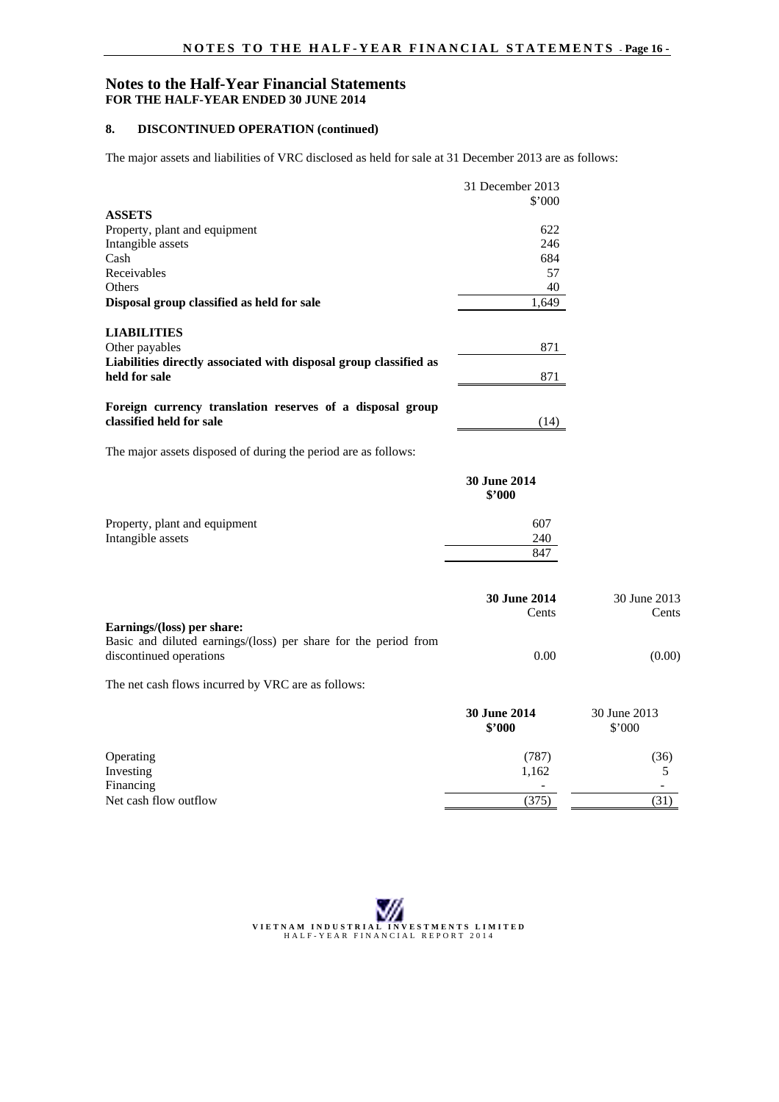# **8. DISCONTINUED OPERATION (continued)**

The major assets and liabilities of VRC disclosed as held for sale at 31 December 2013 are as follows:

|                                                                                       | 31 December 2013              |              |
|---------------------------------------------------------------------------------------|-------------------------------|--------------|
|                                                                                       | \$'000                        |              |
| <b>ASSETS</b>                                                                         |                               |              |
| Property, plant and equipment                                                         | 622                           |              |
| Intangible assets                                                                     | 246                           |              |
| Cash                                                                                  | 684                           |              |
| Receivables                                                                           | 57                            |              |
| Others                                                                                | 40                            |              |
| Disposal group classified as held for sale                                            | 1,649                         |              |
| <b>LIABILITIES</b>                                                                    |                               |              |
| Other payables                                                                        | 871                           |              |
| Liabilities directly associated with disposal group classified as                     |                               |              |
| held for sale                                                                         | 871                           |              |
|                                                                                       |                               |              |
| Foreign currency translation reserves of a disposal group<br>classified held for sale | (14)                          |              |
|                                                                                       |                               |              |
| The major assets disposed of during the period are as follows:                        |                               |              |
|                                                                                       | <b>30 June 2014</b><br>\$'000 |              |
| Property, plant and equipment                                                         | 607                           |              |
| Intangible assets                                                                     | 240                           |              |
|                                                                                       | 847                           |              |
|                                                                                       |                               |              |
|                                                                                       | 30 June 2014                  | 30 June 2013 |
|                                                                                       | Cents                         | Cents        |
| Earnings/(loss) per share:                                                            |                               |              |
| Basic and diluted earnings/(loss) per share for the period from                       |                               |              |
| discontinued operations                                                               | 0.00                          | (0.00)       |
| The net cash flows incurred by VRC are as follows:                                    |                               |              |
|                                                                                       | 30 June 2014                  | 30 June 2013 |
|                                                                                       | \$'000                        | \$'000       |
| Operating                                                                             | (787)                         | (36)         |
| Investing                                                                             | 1,162                         | 5            |
| Financing                                                                             |                               |              |
| Net cash flow outflow                                                                 | (375)                         | (31)         |

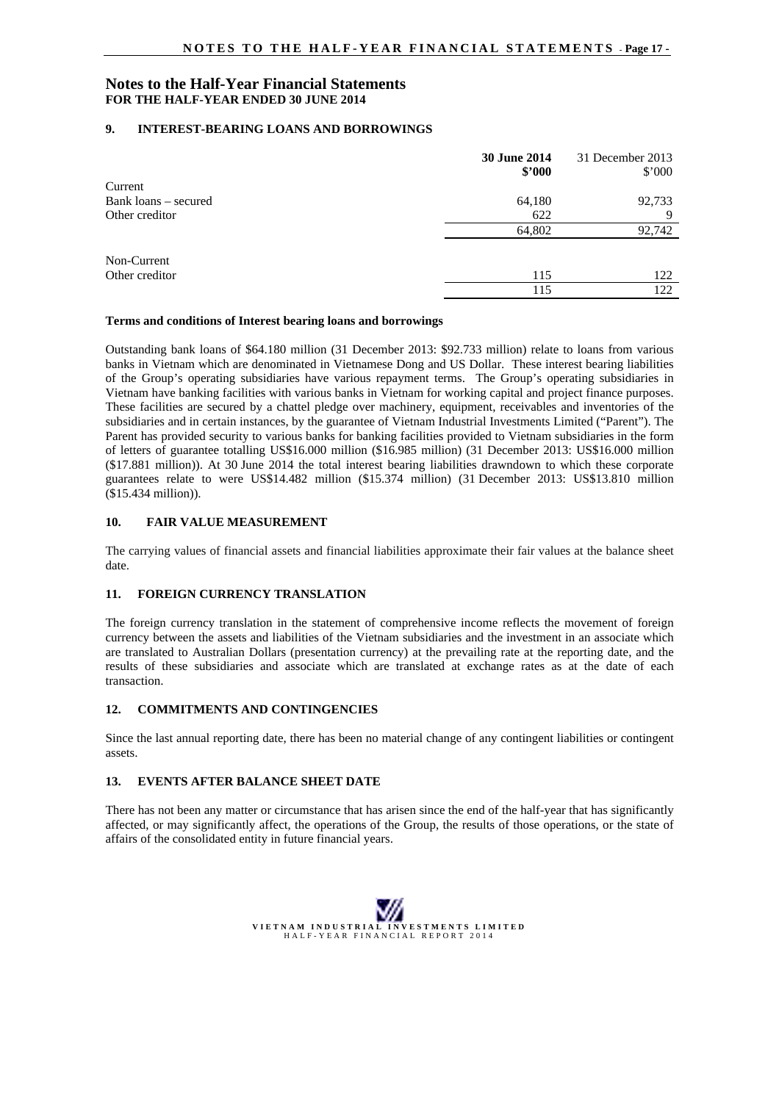#### **9. INTEREST-BEARING LOANS AND BORROWINGS**

|                      | 30 June 2014<br>\$2000 | 31 December 2013<br>$$^{\circ}000$ |
|----------------------|------------------------|------------------------------------|
| Current              |                        |                                    |
| Bank loans – secured | 64,180                 | 92,733                             |
| Other creditor       | 622                    | Q                                  |
|                      | 64,802                 | 92,742                             |
| Non-Current          |                        |                                    |
| Other creditor       | 115                    | 122                                |
|                      | 115                    | 122                                |

#### **Terms and conditions of Interest bearing loans and borrowings**

Outstanding bank loans of \$64.180 million (31 December 2013: \$92.733 million) relate to loans from various banks in Vietnam which are denominated in Vietnamese Dong and US Dollar. These interest bearing liabilities of the Group's operating subsidiaries have various repayment terms. The Group's operating subsidiaries in Vietnam have banking facilities with various banks in Vietnam for working capital and project finance purposes. These facilities are secured by a chattel pledge over machinery, equipment, receivables and inventories of the subsidiaries and in certain instances, by the guarantee of Vietnam Industrial Investments Limited ("Parent"). The Parent has provided security to various banks for banking facilities provided to Vietnam subsidiaries in the form of letters of guarantee totalling US\$16.000 million (\$16.985 million) (31 December 2013: US\$16.000 million (\$17.881 million)). At 30 June 2014 the total interest bearing liabilities drawndown to which these corporate guarantees relate to were US\$14.482 million (\$15.374 million) (31 December 2013: US\$13.810 million (\$15.434 million)).

#### **10. FAIR VALUE MEASUREMENT**

The carrying values of financial assets and financial liabilities approximate their fair values at the balance sheet date.

#### **11. FOREIGN CURRENCY TRANSLATION**

The foreign currency translation in the statement of comprehensive income reflects the movement of foreign currency between the assets and liabilities of the Vietnam subsidiaries and the investment in an associate which are translated to Australian Dollars (presentation currency) at the prevailing rate at the reporting date, and the results of these subsidiaries and associate which are translated at exchange rates as at the date of each transaction.

#### **12. COMMITMENTS AND CONTINGENCIES**

Since the last annual reporting date, there has been no material change of any contingent liabilities or contingent assets.

#### **13. EVENTS AFTER BALANCE SHEET DATE**

There has not been any matter or circumstance that has arisen since the end of the half-year that has significantly affected, or may significantly affect, the operations of the Group, the results of those operations, or the state of affairs of the consolidated entity in future financial years.

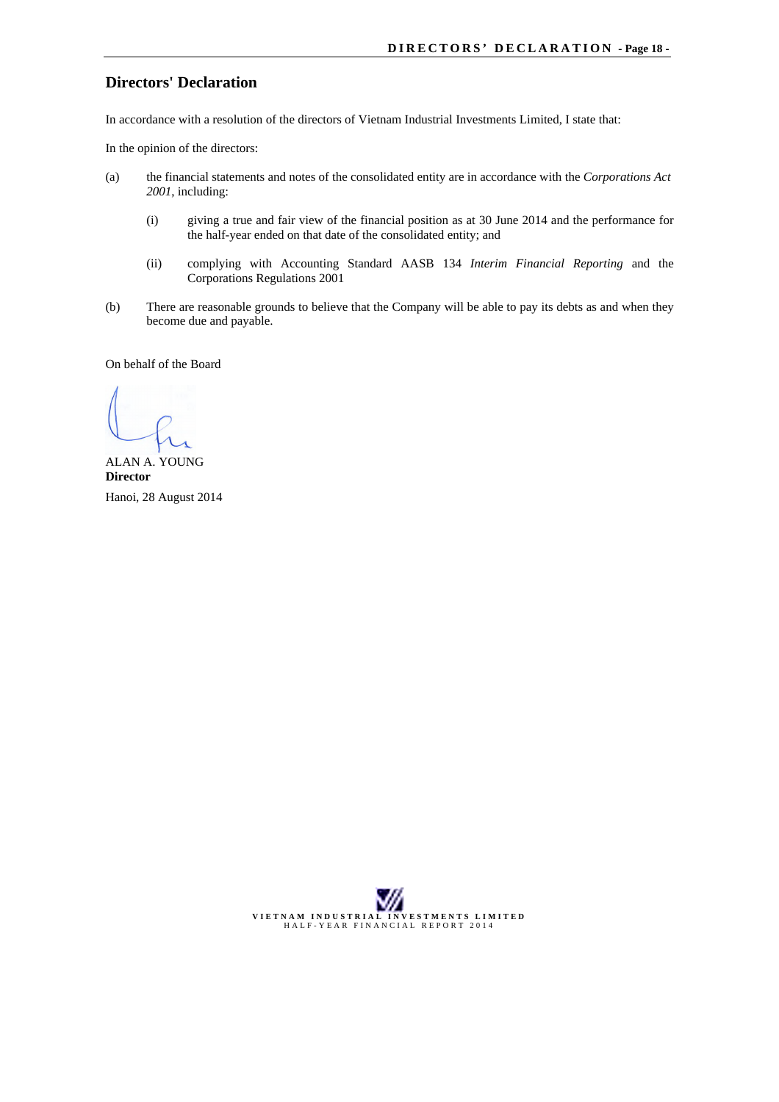# **Directors' Declaration**

In accordance with a resolution of the directors of Vietnam Industrial Investments Limited, I state that:

In the opinion of the directors:

- (a) the financial statements and notes of the consolidated entity are in accordance with the *Corporations Act 2001*, including:
	- (i) giving a true and fair view of the financial position as at 30 June 2014 and the performance for the half-year ended on that date of the consolidated entity; and
	- (ii) complying with Accounting Standard AASB 134 *Interim Financial Reporting* and the Corporations Regulations 2001
- (b) There are reasonable grounds to believe that the Company will be able to pay its debts as and when they become due and payable.

On behalf of the Board

ALAN A. YOUNG **Director** Hanoi, 28 August 2014

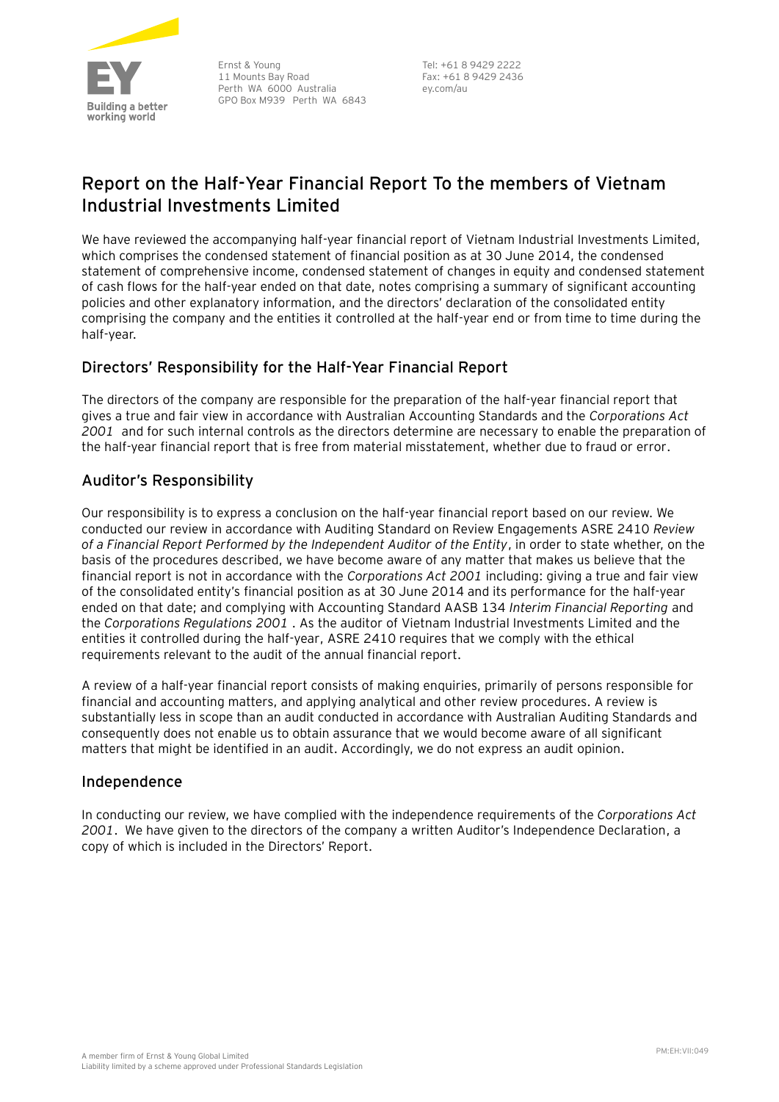

Ernst & Young 11 Mounts Bay Road Perth WA 6000 Australia GPO Box M939 Perth WA 6843

Tel: +61 8 9429 2222 Fax: +61 8 9429 2436 ey.com/au

# **Report on the Half-Year Financial Report To the members of Vietnam Industrial Investments Limited**

We have reviewed the accompanying half-year financial report of Vietnam Industrial Investments Limited, which comprises the condensed statement of financial position as at 30 June 2014, the condensed statement of comprehensive income, condensed statement of changes in equity and condensed statement of cash flows for the half-year ended on that date, notes comprising a summary of significant accounting policies and other explanatory information, and the directors' declaration of the consolidated entity comprising the company and the entities it controlled at the half-year end or from time to time during the half-year.

# **Directors' Responsibility for the Half-Year Financial Report**

The directors of the company are responsible for the preparation of the half-year financial report that gives a true and fair view in accordance with Australian Accounting Standards and the *Corporations Act 2001* and for such internal controls as the directors determine are necessary to enable the preparation of the half-year financial report that is free from material misstatement, whether due to fraud or error.

# **Auditor's Responsibility**

Our responsibility is to express a conclusion on the half-year financial report based on our review. We conducted our review in accordance with Auditing Standard on Review Engagements ASRE 2410 *Review of a Financial Report Performed by the Independent Auditor of the Entity*, in order to state whether, on the basis of the procedures described, we have become aware of any matter that makes us believe that the financial report is not in accordance with the *Corporations Act 2001* including: giving a true and fair view of the consolidated entity's financial position as at 30 June 2014 and its performance for the half-year ended on that date; and complying with Accounting Standard AASB 134 *Interim Financial Reporting* and the *Corporations Regulations 2001* . As the auditor of Vietnam Industrial Investments Limited and the entities it controlled during the half-year, ASRE 2410 requires that we comply with the ethical requirements relevant to the audit of the annual financial report.

A review of a half-year financial report consists of making enquiries, primarily of persons responsible for financial and accounting matters, and applying analytical and other review procedures. A review is substantially less in scope than an audit conducted in accordance with Australian Auditing Standards and consequently does not enable us to obtain assurance that we would become aware of all significant matters that might be identified in an audit. Accordingly, we do not express an audit opinion.

# **Independence**

In conducting our review, we have complied with the independence requirements of the *Corporations Act 2001*. We have given to the directors of the company a written Auditor's Independence Declaration, a copy of which is included in the Directors' Report.